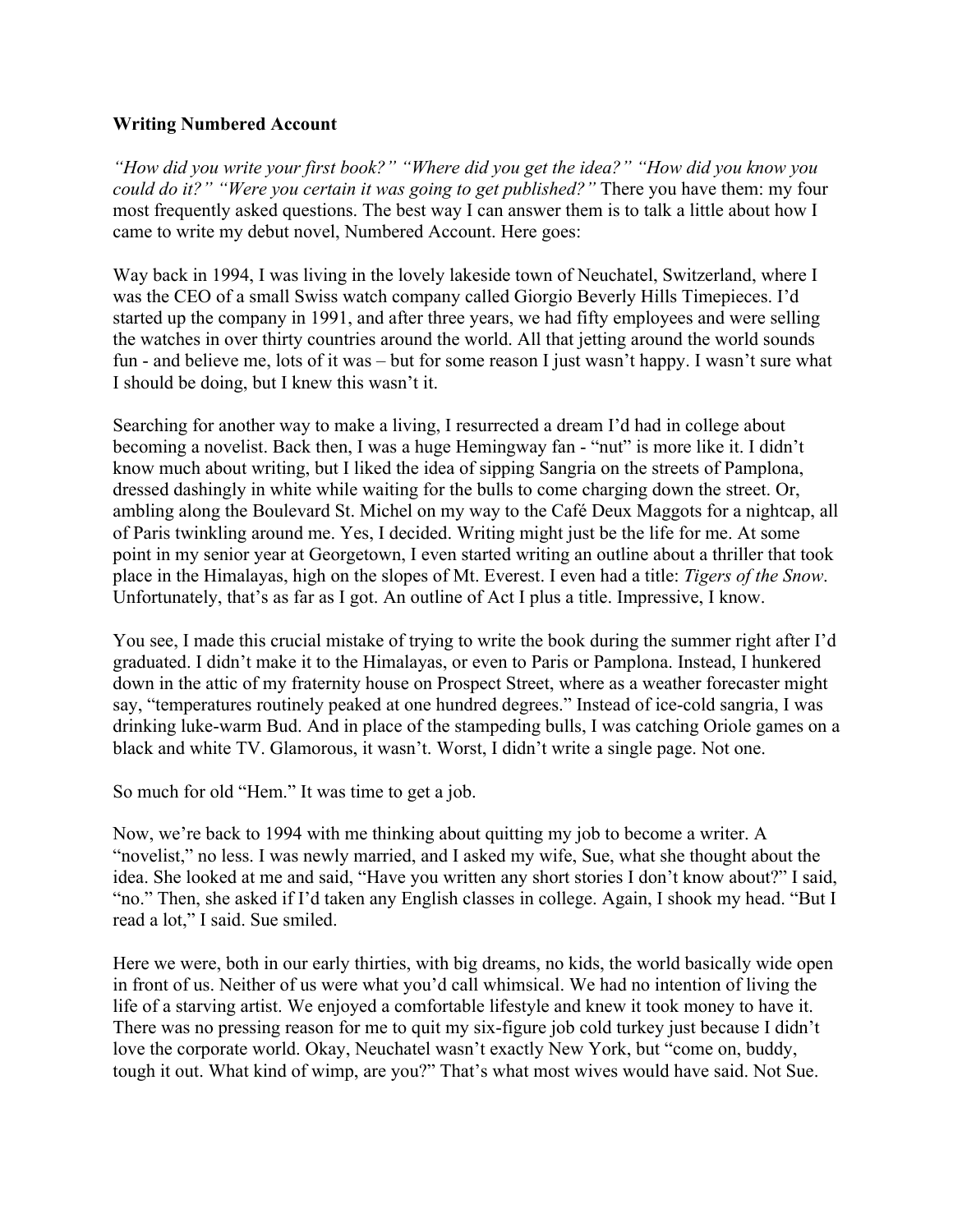## **Writing Numbered Account**

*"How did you write your first book?" "Where did you get the idea?" "How did you know you could do it?" "Were you certain it was going to get published?"* There you have them: my four most frequently asked questions. The best way I can answer them is to talk a little about how I came to write my debut novel, Numbered Account. Here goes:

Way back in 1994, I was living in the lovely lakeside town of Neuchatel, Switzerland, where I was the CEO of a small Swiss watch company called Giorgio Beverly Hills Timepieces. I'd started up the company in 1991, and after three years, we had fifty employees and were selling the watches in over thirty countries around the world. All that jetting around the world sounds fun - and believe me, lots of it was – but for some reason I just wasn't happy. I wasn't sure what I should be doing, but I knew this wasn't it.

Searching for another way to make a living, I resurrected a dream I'd had in college about becoming a novelist. Back then, I was a huge Hemingway fan - "nut" is more like it. I didn't know much about writing, but I liked the idea of sipping Sangria on the streets of Pamplona, dressed dashingly in white while waiting for the bulls to come charging down the street. Or, ambling along the Boulevard St. Michel on my way to the Café Deux Maggots for a nightcap, all of Paris twinkling around me. Yes, I decided. Writing might just be the life for me. At some point in my senior year at Georgetown, I even started writing an outline about a thriller that took place in the Himalayas, high on the slopes of Mt. Everest. I even had a title: *Tigers of the Snow*. Unfortunately, that's as far as I got. An outline of Act I plus a title. Impressive, I know.

You see, I made this crucial mistake of trying to write the book during the summer right after I'd graduated. I didn't make it to the Himalayas, or even to Paris or Pamplona. Instead, I hunkered down in the attic of my fraternity house on Prospect Street, where as a weather forecaster might say, "temperatures routinely peaked at one hundred degrees." Instead of ice-cold sangria, I was drinking luke-warm Bud. And in place of the stampeding bulls, I was catching Oriole games on a black and white TV. Glamorous, it wasn't. Worst, I didn't write a single page. Not one.

So much for old "Hem." It was time to get a job.

Now, we're back to 1994 with me thinking about quitting my job to become a writer. A "novelist," no less. I was newly married, and I asked my wife, Sue, what she thought about the idea. She looked at me and said, "Have you written any short stories I don't know about?" I said, "no." Then, she asked if I'd taken any English classes in college. Again, I shook my head. "But I read a lot," I said. Sue smiled.

Here we were, both in our early thirties, with big dreams, no kids, the world basically wide open in front of us. Neither of us were what you'd call whimsical. We had no intention of living the life of a starving artist. We enjoyed a comfortable lifestyle and knew it took money to have it. There was no pressing reason for me to quit my six-figure job cold turkey just because I didn't love the corporate world. Okay, Neuchatel wasn't exactly New York, but "come on, buddy, tough it out. What kind of wimp, are you?" That's what most wives would have said. Not Sue.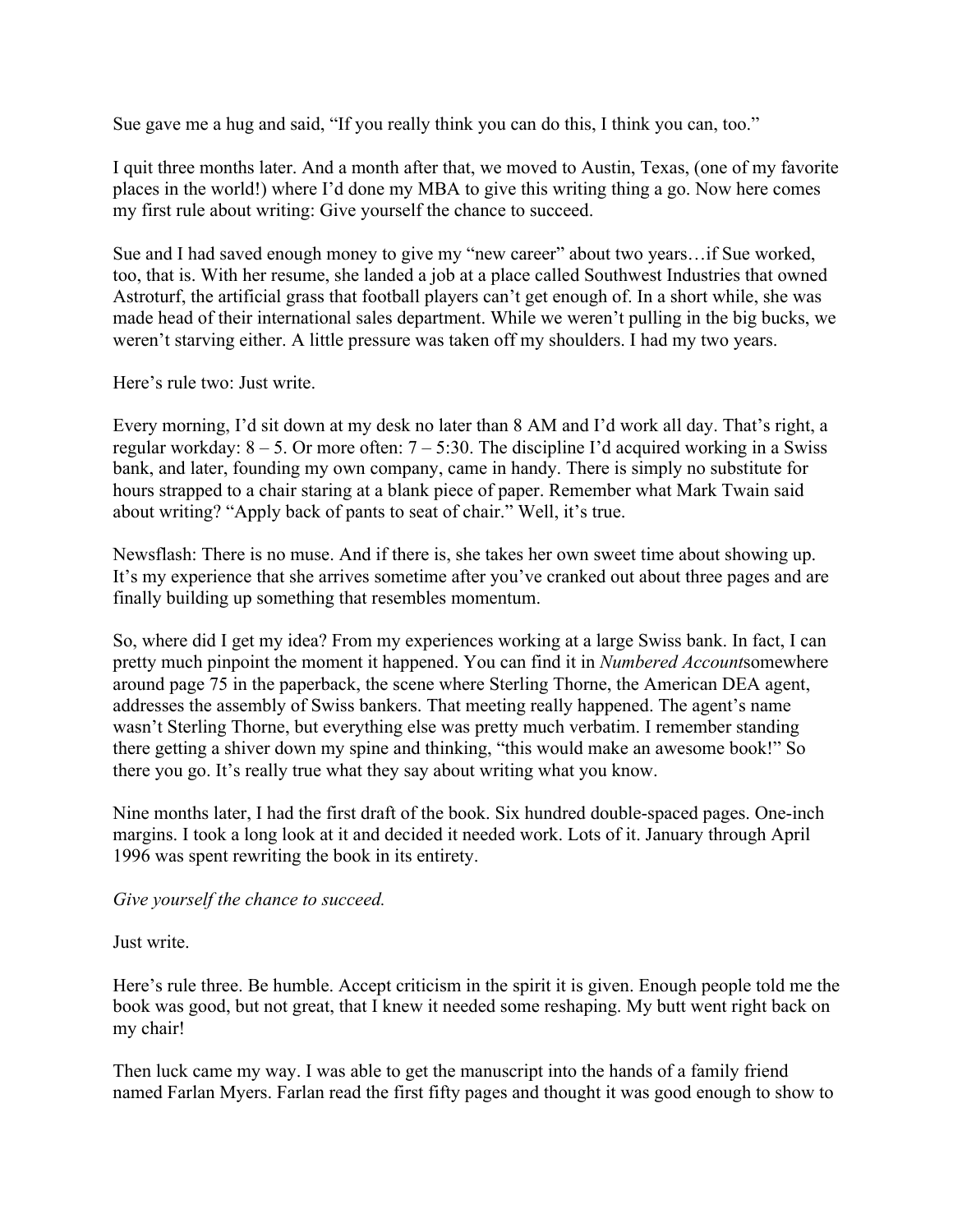Sue gave me a hug and said, "If you really think you can do this, I think you can, too."

I quit three months later. And a month after that, we moved to Austin, Texas, (one of my favorite places in the world!) where I'd done my MBA to give this writing thing a go. Now here comes my first rule about writing: Give yourself the chance to succeed.

Sue and I had saved enough money to give my "new career" about two years…if Sue worked, too, that is. With her resume, she landed a job at a place called Southwest Industries that owned Astroturf, the artificial grass that football players can't get enough of. In a short while, she was made head of their international sales department. While we weren't pulling in the big bucks, we weren't starving either. A little pressure was taken off my shoulders. I had my two years.

Here's rule two: Just write.

Every morning, I'd sit down at my desk no later than 8 AM and I'd work all day. That's right, a regular workday:  $8 - 5$ . Or more often:  $7 - 5:30$ . The discipline I'd acquired working in a Swiss bank, and later, founding my own company, came in handy. There is simply no substitute for hours strapped to a chair staring at a blank piece of paper. Remember what Mark Twain said about writing? "Apply back of pants to seat of chair." Well, it's true.

Newsflash: There is no muse. And if there is, she takes her own sweet time about showing up. It's my experience that she arrives sometime after you've cranked out about three pages and are finally building up something that resembles momentum.

So, where did I get my idea? From my experiences working at a large Swiss bank. In fact, I can pretty much pinpoint the moment it happened. You can find it in *Numbered Account*somewhere around page 75 in the paperback, the scene where Sterling Thorne, the American DEA agent, addresses the assembly of Swiss bankers. That meeting really happened. The agent's name wasn't Sterling Thorne, but everything else was pretty much verbatim. I remember standing there getting a shiver down my spine and thinking, "this would make an awesome book!" So there you go. It's really true what they say about writing what you know.

Nine months later, I had the first draft of the book. Six hundred double-spaced pages. One-inch margins. I took a long look at it and decided it needed work. Lots of it. January through April 1996 was spent rewriting the book in its entirety.

*Give yourself the chance to succeed.*

Just write.

Here's rule three. Be humble. Accept criticism in the spirit it is given. Enough people told me the book was good, but not great, that I knew it needed some reshaping. My butt went right back on my chair!

Then luck came my way. I was able to get the manuscript into the hands of a family friend named Farlan Myers. Farlan read the first fifty pages and thought it was good enough to show to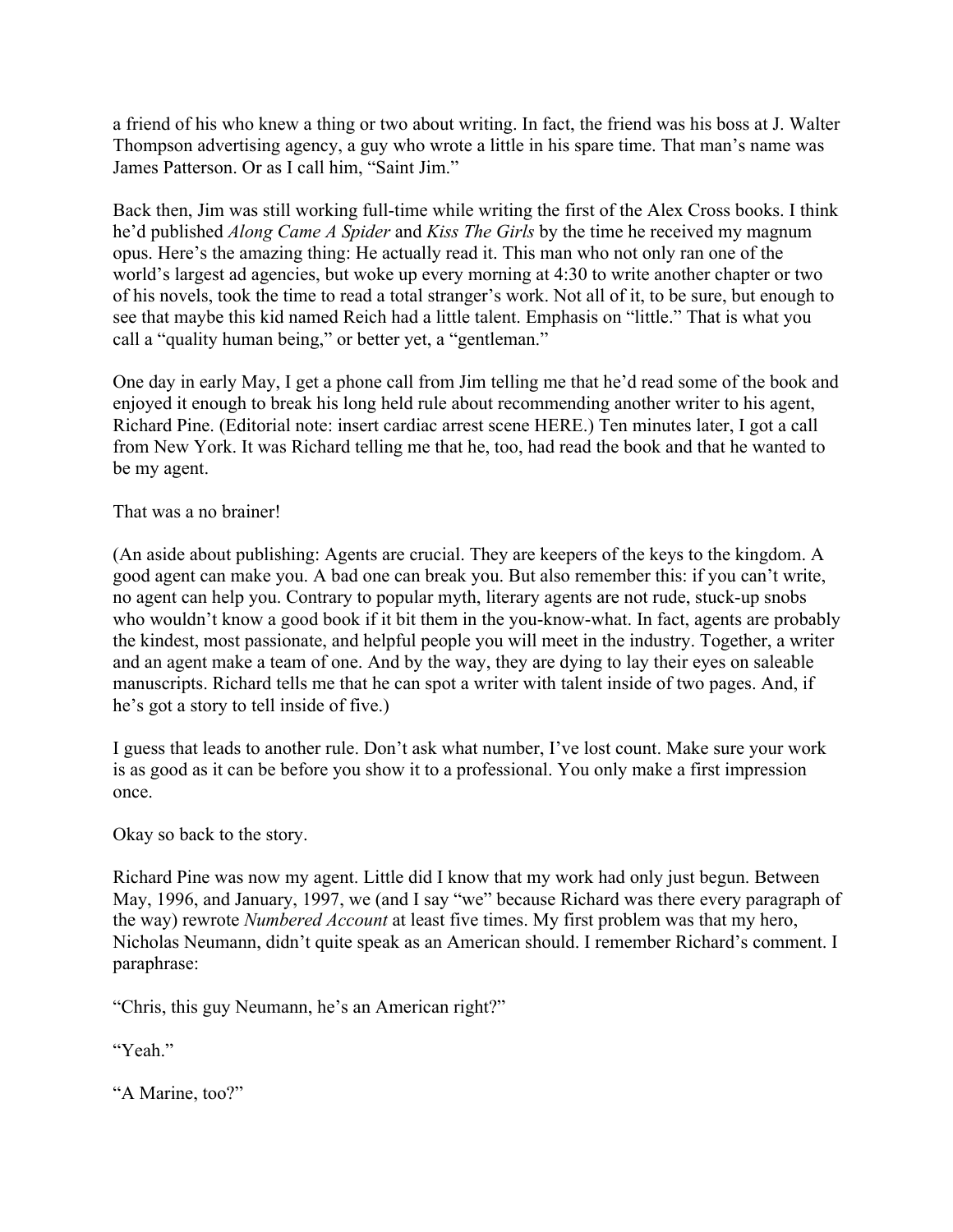a friend of his who knew a thing or two about writing. In fact, the friend was his boss at J. Walter Thompson advertising agency, a guy who wrote a little in his spare time. That man's name was James Patterson. Or as I call him, "Saint Jim."

Back then, Jim was still working full-time while writing the first of the Alex Cross books. I think he'd published *Along Came A Spider* and *Kiss The Girls* by the time he received my magnum opus. Here's the amazing thing: He actually read it. This man who not only ran one of the world's largest ad agencies, but woke up every morning at 4:30 to write another chapter or two of his novels, took the time to read a total stranger's work. Not all of it, to be sure, but enough to see that maybe this kid named Reich had a little talent. Emphasis on "little." That is what you call a "quality human being," or better yet, a "gentleman."

One day in early May, I get a phone call from Jim telling me that he'd read some of the book and enjoyed it enough to break his long held rule about recommending another writer to his agent, Richard Pine. (Editorial note: insert cardiac arrest scene HERE.) Ten minutes later, I got a call from New York. It was Richard telling me that he, too, had read the book and that he wanted to be my agent.

That was a no brainer!

(An aside about publishing: Agents are crucial. They are keepers of the keys to the kingdom. A good agent can make you. A bad one can break you. But also remember this: if you can't write, no agent can help you. Contrary to popular myth, literary agents are not rude, stuck-up snobs who wouldn't know a good book if it bit them in the you-know-what. In fact, agents are probably the kindest, most passionate, and helpful people you will meet in the industry. Together, a writer and an agent make a team of one. And by the way, they are dying to lay their eyes on saleable manuscripts. Richard tells me that he can spot a writer with talent inside of two pages. And, if he's got a story to tell inside of five.)

I guess that leads to another rule. Don't ask what number, I've lost count. Make sure your work is as good as it can be before you show it to a professional. You only make a first impression once.

Okay so back to the story.

Richard Pine was now my agent. Little did I know that my work had only just begun. Between May, 1996, and January, 1997, we (and I say "we" because Richard was there every paragraph of the way) rewrote *Numbered Account* at least five times. My first problem was that my hero, Nicholas Neumann, didn't quite speak as an American should. I remember Richard's comment. I paraphrase:

"Chris, this guy Neumann, he's an American right?"

"Yeah."

"A Marine, too?"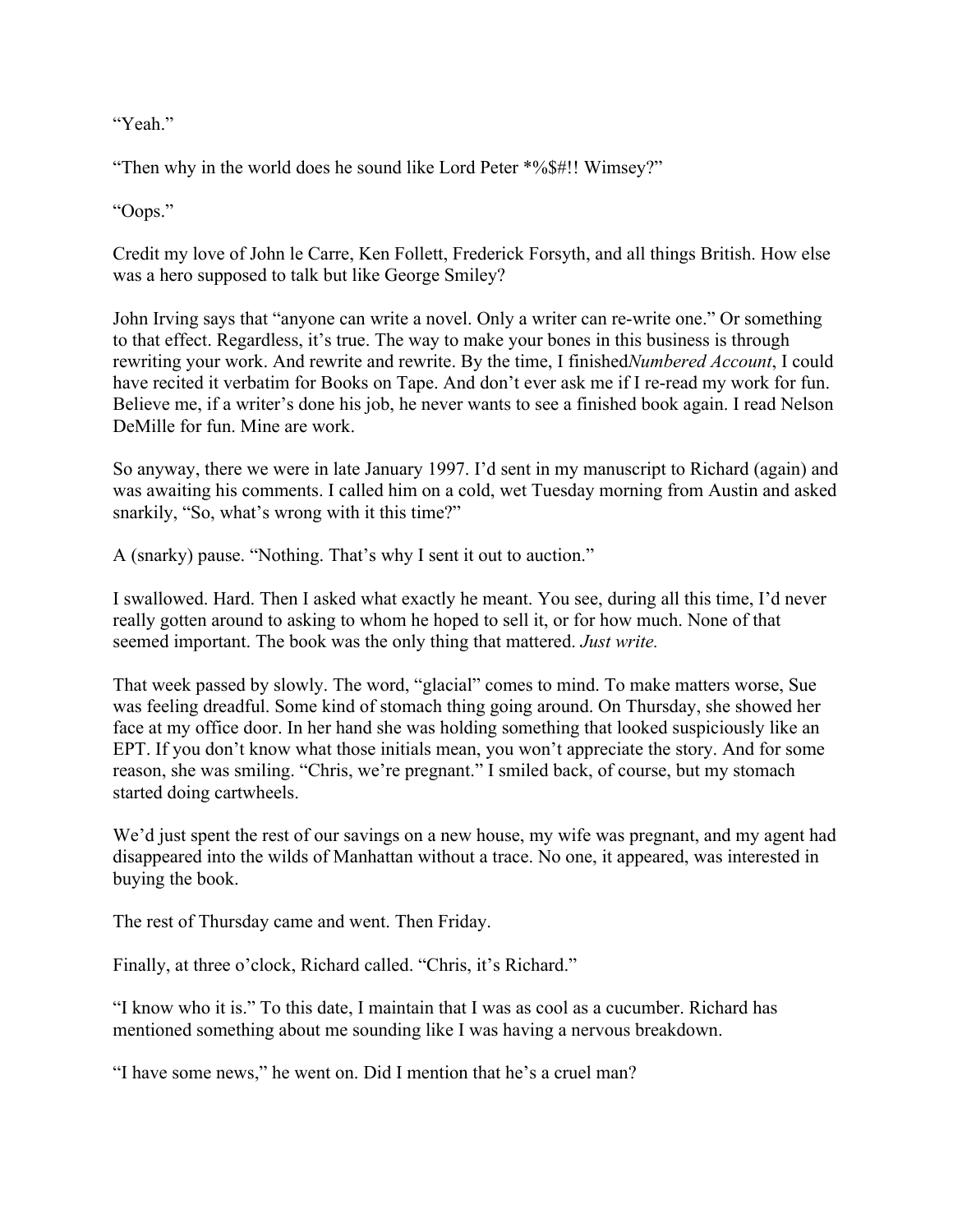"Yeah."

"Then why in the world does he sound like Lord Peter \*%\$#!! Wimsey?"

"Oops."

Credit my love of John le Carre, Ken Follett, Frederick Forsyth, and all things British. How else was a hero supposed to talk but like George Smiley?

John Irving says that "anyone can write a novel. Only a writer can re-write one." Or something to that effect. Regardless, it's true. The way to make your bones in this business is through rewriting your work. And rewrite and rewrite. By the time, I finished*Numbered Account*, I could have recited it verbatim for Books on Tape. And don't ever ask me if I re-read my work for fun. Believe me, if a writer's done his job, he never wants to see a finished book again. I read Nelson DeMille for fun. Mine are work.

So anyway, there we were in late January 1997. I'd sent in my manuscript to Richard (again) and was awaiting his comments. I called him on a cold, wet Tuesday morning from Austin and asked snarkily, "So, what's wrong with it this time?"

A (snarky) pause. "Nothing. That's why I sent it out to auction."

I swallowed. Hard. Then I asked what exactly he meant. You see, during all this time, I'd never really gotten around to asking to whom he hoped to sell it, or for how much. None of that seemed important. The book was the only thing that mattered. *Just write.*

That week passed by slowly. The word, "glacial" comes to mind. To make matters worse, Sue was feeling dreadful. Some kind of stomach thing going around. On Thursday, she showed her face at my office door. In her hand she was holding something that looked suspiciously like an EPT. If you don't know what those initials mean, you won't appreciate the story. And for some reason, she was smiling. "Chris, we're pregnant." I smiled back, of course, but my stomach started doing cartwheels.

We'd just spent the rest of our savings on a new house, my wife was pregnant, and my agent had disappeared into the wilds of Manhattan without a trace. No one, it appeared, was interested in buying the book.

The rest of Thursday came and went. Then Friday.

Finally, at three o'clock, Richard called. "Chris, it's Richard."

"I know who it is." To this date, I maintain that I was as cool as a cucumber. Richard has mentioned something about me sounding like I was having a nervous breakdown.

"I have some news," he went on. Did I mention that he's a cruel man?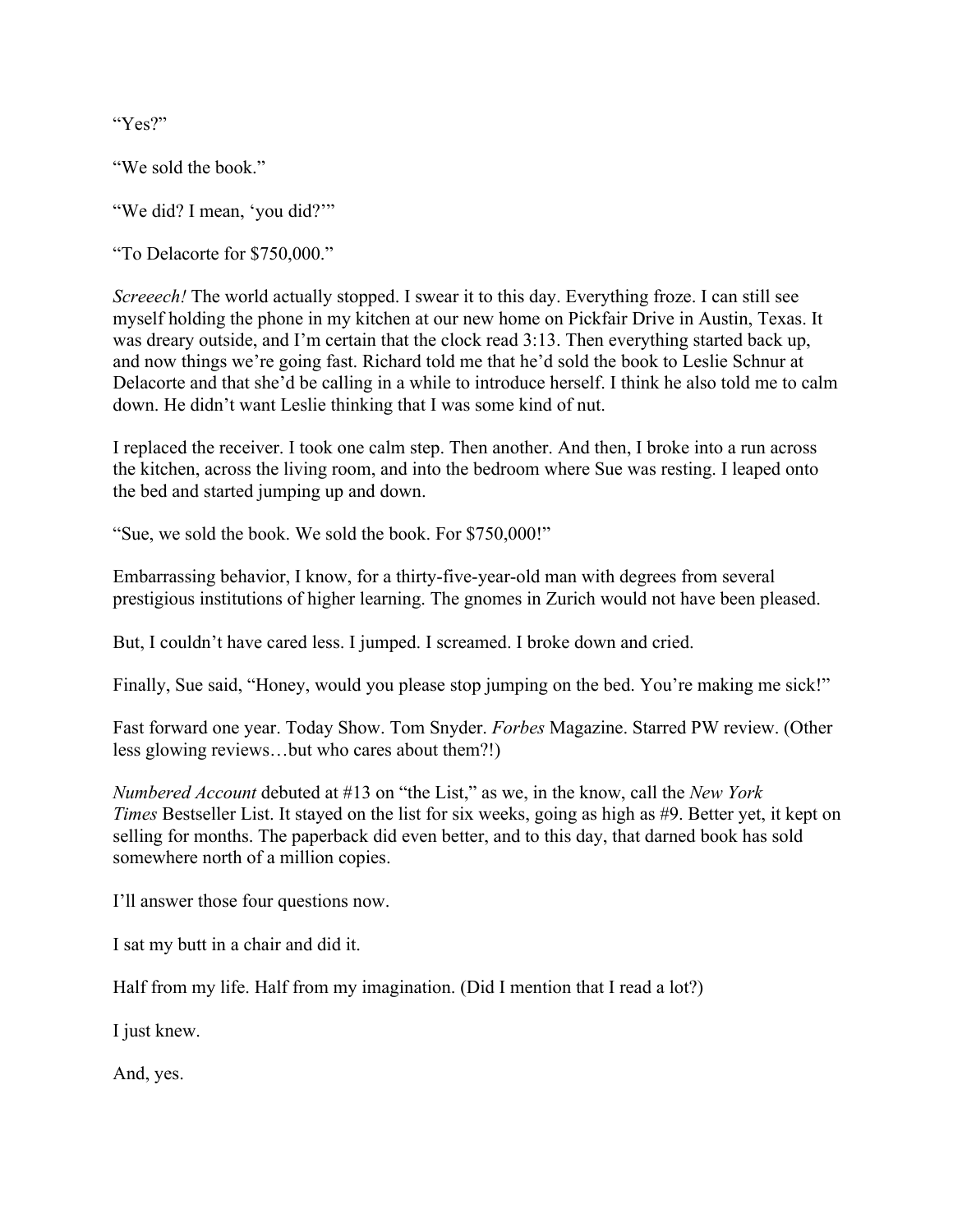"Yes?"

"We sold the book."

"We did? I mean, 'you did?""

"To Delacorte for \$750,000."

*Screeech!* The world actually stopped. I swear it to this day. Everything froze. I can still see myself holding the phone in my kitchen at our new home on Pickfair Drive in Austin, Texas. It was dreary outside, and I'm certain that the clock read 3:13. Then everything started back up, and now things we're going fast. Richard told me that he'd sold the book to Leslie Schnur at Delacorte and that she'd be calling in a while to introduce herself. I think he also told me to calm down. He didn't want Leslie thinking that I was some kind of nut.

I replaced the receiver. I took one calm step. Then another. And then, I broke into a run across the kitchen, across the living room, and into the bedroom where Sue was resting. I leaped onto the bed and started jumping up and down.

"Sue, we sold the book. We sold the book. For \$750,000!"

Embarrassing behavior, I know, for a thirty-five-year-old man with degrees from several prestigious institutions of higher learning. The gnomes in Zurich would not have been pleased.

But, I couldn't have cared less. I jumped. I screamed. I broke down and cried.

Finally, Sue said, "Honey, would you please stop jumping on the bed. You're making me sick!"

Fast forward one year. Today Show. Tom Snyder. *Forbes* Magazine. Starred PW review. (Other less glowing reviews…but who cares about them?!)

*Numbered Account* debuted at #13 on "the List," as we, in the know, call the *New York Times* Bestseller List. It stayed on the list for six weeks, going as high as #9. Better yet, it kept on selling for months. The paperback did even better, and to this day, that darned book has sold somewhere north of a million copies.

I'll answer those four questions now.

I sat my butt in a chair and did it.

Half from my life. Half from my imagination. (Did I mention that I read a lot?)

I just knew.

And, yes.